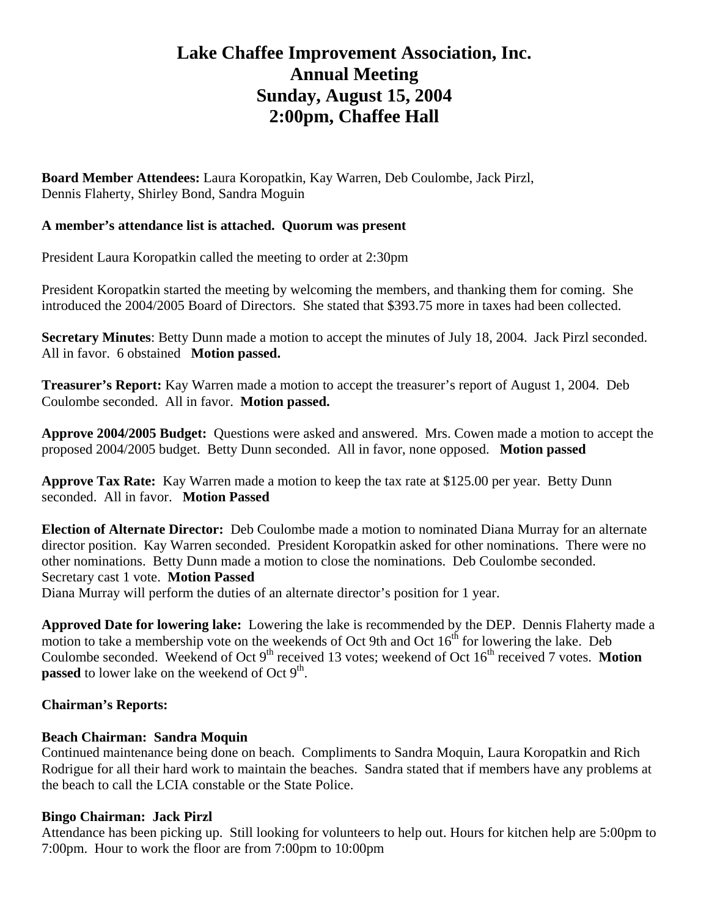# **Lake Chaffee Improvement Association, Inc. Annual Meeting Sunday, August 15, 2004 2:00pm, Chaffee Hall**

**Board Member Attendees:** Laura Koropatkin, Kay Warren, Deb Coulombe, Jack Pirzl, Dennis Flaherty, Shirley Bond, Sandra Moguin

#### **A member's attendance list is attached. Quorum was present**

President Laura Koropatkin called the meeting to order at 2:30pm

President Koropatkin started the meeting by welcoming the members, and thanking them for coming. She introduced the 2004/2005 Board of Directors. She stated that \$393.75 more in taxes had been collected.

**Secretary Minutes**: Betty Dunn made a motion to accept the minutes of July 18, 2004. Jack Pirzl seconded. All in favor. 6 obstained **Motion passed.** 

**Treasurer's Report:** Kay Warren made a motion to accept the treasurer's report of August 1, 2004. Deb Coulombe seconded. All in favor. **Motion passed.** 

**Approve 2004/2005 Budget:** Questions were asked and answered. Mrs. Cowen made a motion to accept the proposed 2004/2005 budget. Betty Dunn seconded. All in favor, none opposed. **Motion passed**

**Approve Tax Rate:** Kay Warren made a motion to keep the tax rate at \$125.00 per year. Betty Dunn seconded. All in favor. **Motion Passed** 

**Election of Alternate Director:** Deb Coulombe made a motion to nominated Diana Murray for an alternate director position. Kay Warren seconded. President Koropatkin asked for other nominations. There were no other nominations. Betty Dunn made a motion to close the nominations. Deb Coulombe seconded. Secretary cast 1 vote. **Motion Passed** 

Diana Murray will perform the duties of an alternate director's position for 1 year.

**Approved Date for lowering lake:** Lowering the lake is recommended by the DEP. Dennis Flaherty made a motion to take a membership vote on the weekends of Oct 9th and Oct  $16<sup>th</sup>$  for lowering the lake. Deb Coulombe seconded. Weekend of Oct 9<sup>th</sup> received 13 votes; weekend of Oct 16<sup>th</sup> received 7 votes. **Motion passed** to lower lake on the weekend of Oct  $9<sup>th</sup>$ .

## **Chairman's Reports:**

## **Beach Chairman: Sandra Moquin**

Continued maintenance being done on beach. Compliments to Sandra Moquin, Laura Koropatkin and Rich Rodrigue for all their hard work to maintain the beaches. Sandra stated that if members have any problems at the beach to call the LCIA constable or the State Police.

#### **Bingo Chairman: Jack Pirzl**

Attendance has been picking up. Still looking for volunteers to help out. Hours for kitchen help are 5:00pm to 7:00pm. Hour to work the floor are from 7:00pm to 10:00pm